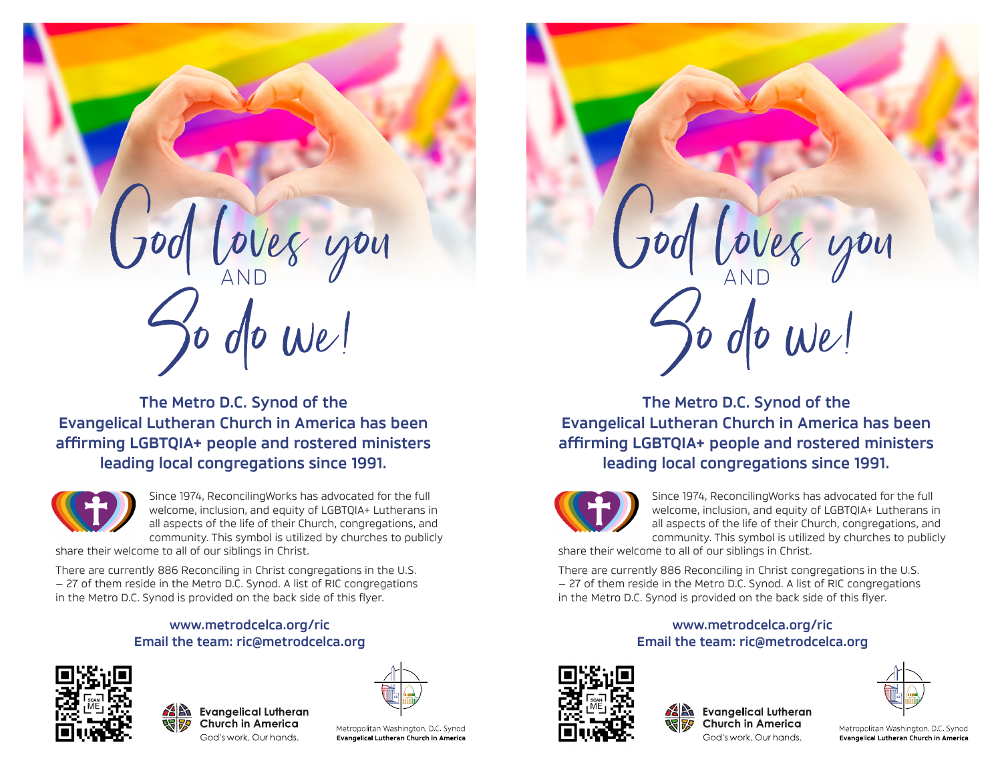

**The Metro D.C. Synod of the Evangelical Lutheran Church in America has been affirming LGBTQIA+ people and rostered ministers leading local congregations since 1991.**



Since 1974, ReconcilingWorks has advocated for the full welcome, inclusion, and equity of LGBTQIA+ Lutherans in all aspects of the life of their Church, congregations, and community. This symbol is utilized by churches to publicly

share their welcome to all of our siblings in Christ.

There are currently 886 Reconciling in Christ congregations in the U.S. — 27 of them reside in the Metro D.C. Synod. A list of RIC congregations in the Metro D.C. Synod is provided on the back side of this flyer.

## **www.metrodcelca.org/ric Email the team: ric@metrodcelca.org**









Metropolitan Washington, D.C. Synod Evangelical Lutheran Church in America